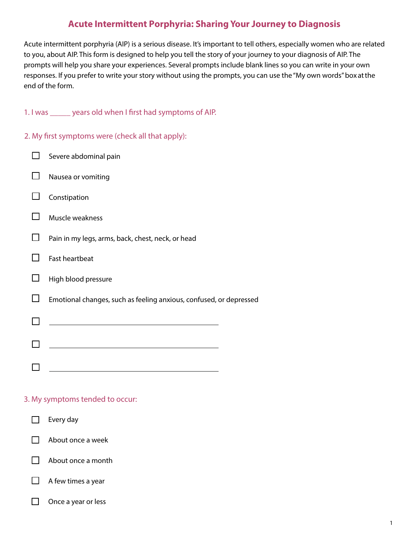# **Acute Intermittent Porphyria: Sharing Your Journey to Diagnosis**

Acute intermittent porphyria (AIP) is a serious disease. It's important to tell others, especially women who are related to you, about AIP. This form is designed to help you tell the story of your journey to your diagnosis of AIP. The prompts will help you share your experiences. Several prompts include blank lines so you can write in your own responses. If you prefer to write your story without using the prompts, you can use the "My own words" box at the end of the form.

1. I was \_\_\_\_\_ years old when I first had symptoms of AIP.

2. My first symptoms were (check all that apply):

| Severe abdominal pain                                              |
|--------------------------------------------------------------------|
| Nausea or vomiting                                                 |
| Constipation                                                       |
| Muscle weakness                                                    |
| Pain in my legs, arms, back, chest, neck, or head                  |
| <b>Fast heartbeat</b>                                              |
| High blood pressure                                                |
| Emotional changes, such as feeling anxious, confused, or depressed |
|                                                                    |
|                                                                    |
|                                                                    |
|                                                                    |

# 3. My symptoms tended to occur:



 $\Box$ Once a year or less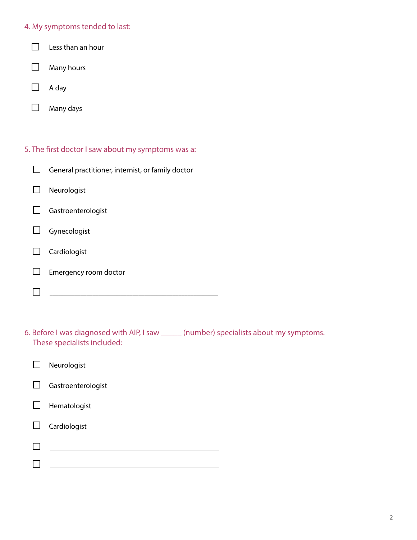#### 4. My symptoms tended to last:

- $\Box$ Less than an hour
- $\Box$ Many hours
- $\Box$ A day
- $\Box$ Many days
- 5. The first doctor I saw about my symptoms was a:
	- $\Box$ General practitioner, internist, or family doctor  $\Box$ Neurologist  $\Box$ Gastroenterologist  $\Box$ Gynecologist  $\Box$ Cardiologist  $\Box$ Emergency room doctor
	- $\Box$
- 6. Before I was diagnosed with AIP, I saw \_\_\_\_\_ (number) specialists about my symptoms. These specialists included:
- $\Box$ Neurologist  $\Box$ Gastroenterologist  $\Box$ Hematologist  $\Box$ Cardiologist  $\Box$  $\Box$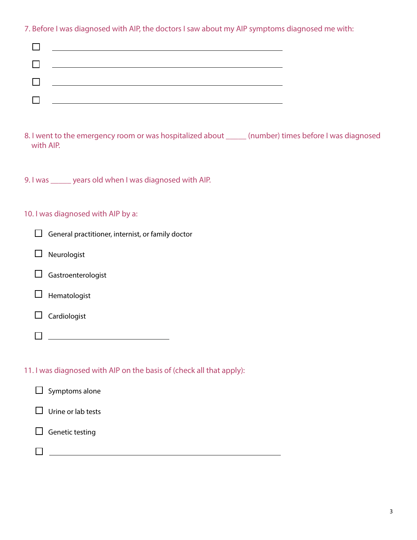7. Before I was diagnosed with AIP, the doctors I saw about my AIP symptoms diagnosed me with:

| $\Box$ and $\Box$ and $\Box$ and $\Box$ and $\Box$ and $\Box$ and $\Box$ and $\Box$ and $\Box$ and $\Box$ and $\Box$ and $\Box$ and $\Box$ and $\Box$ and $\Box$ and $\Box$ and $\Box$ and $\Box$ and $\Box$ and $\Box$ and $\Box$ and $\Box$ and $\Box$ and $\Box$ and $\Box$ |
|--------------------------------------------------------------------------------------------------------------------------------------------------------------------------------------------------------------------------------------------------------------------------------|
| $\Box$ and $\Box$ and $\Box$ and $\Box$ and $\Box$ and $\Box$ and $\Box$ and $\Box$ and $\Box$ and $\Box$ and $\Box$ and $\Box$ and $\Box$ and $\Box$ and $\Box$ and $\Box$ and $\Box$ and $\Box$ and $\Box$ and $\Box$ and $\Box$ and $\Box$ and $\Box$ and $\Box$ and $\Box$ |
| $\Box$ . The contract of the contract of the contract of the contract of the contract of the contract of the contract of the contract of the contract of the contract of the contract of the contract of the contract of the co                                                |
| <u> Tantan di Kabupatén Bandar Bandar Bandar Bandar Bandar Bandar Bandar Bandar Bandar Bandar Bandar Bandar Bandar Bandar Bandar Bandar Bandar Bandar Bandar Bandar Bandar Bandar Bandar Bandar Bandar Bandar Bandar Bandar Band</u>                                           |

- 8. I went to the emergency room or was hospitalized about \_\_\_\_\_\_ (number) times before I was diagnosed with AIP.
- 9. I was \_\_\_\_\_ years old when I was diagnosed with AIP.

# 10. I was diagnosed with AIP by a:

 $\square$  Neurologist

| $\Box$ Gastroenterologist |  |
|---------------------------|--|
|                           |  |

|  | Hematologist |
|--|--------------|
|--|--------------|

 $\Box$  Cardiologist

11. I was diagnosed with AIP on the basis of (check all that apply):

| $\Box$ Symptoms alone     |  |  |
|---------------------------|--|--|
| $\Box$ Urine or lab tests |  |  |
| $\Box$ Genetic testing    |  |  |
|                           |  |  |